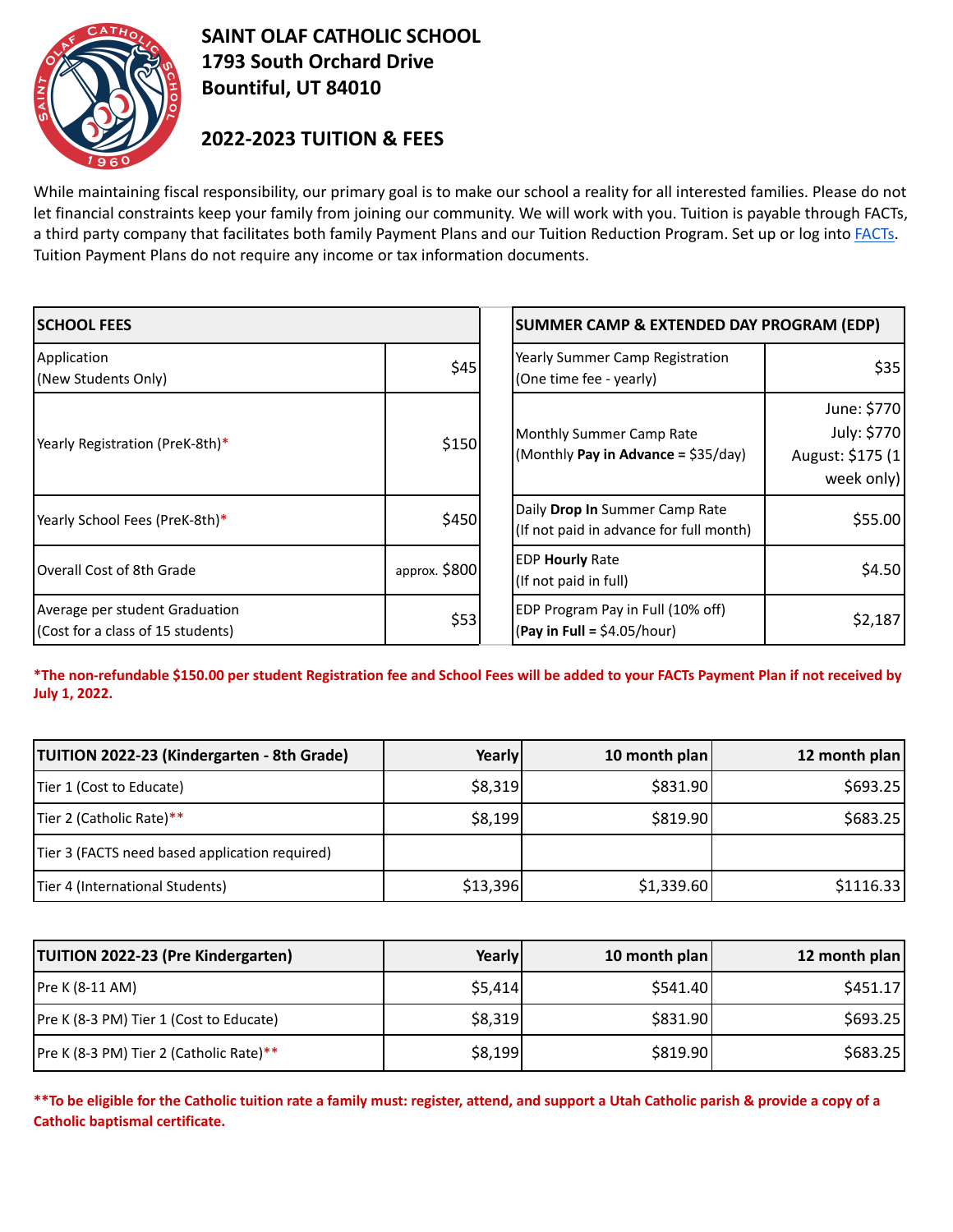

## **SAINT OLAF CATHOLIC SCHOOL 1793 South Orchard Drive Bountiful, UT 84010**

## **2022-2023 TUITION & FEES**

While maintaining fiscal responsibility, our primary goal is to make our school a reality for all interested families. Please do not let financial constraints keep your family from joining our community. We will work with you. Tuition is payable through FACTs, a third party company that facilitates both family Payment Plans and our Tuition Reduction Program. Set up or log into [FACTs.](https://online.factsmgt.com/signin/46914) Tuition Payment Plans do not require any income or tax information documents.

| <b>SCHOOL FEES</b>                                                  |               | SUMMER CAMP & EXTENDED DAY PROGRAM (EDP)                                  |                                                               |  |
|---------------------------------------------------------------------|---------------|---------------------------------------------------------------------------|---------------------------------------------------------------|--|
| Application<br>(New Students Only)                                  | \$45          | Yearly Summer Camp Registration<br>(One time fee - yearly)                | \$35                                                          |  |
| Yearly Registration (PreK-8th)*                                     | \$150         | Monthly Summer Camp Rate<br>(Monthly Pay in Advance = \$35/day)           | June: \$770<br>July: \$770<br>August: \$175 (1)<br>week only) |  |
| Yearly School Fees (PreK-8th)*                                      | \$450         | Daily Drop In Summer Camp Rate<br>(If not paid in advance for full month) | \$55.00                                                       |  |
| Overall Cost of 8th Grade                                           | approx. \$800 | <b>EDP Hourly Rate</b><br>(If not paid in full)                           | \$4.50                                                        |  |
| Average per student Graduation<br>(Cost for a class of 15 students) | \$53          | EDP Program Pay in Full (10% off)<br>(Pay in Full = $$4.05/hour$ )        | \$2,187                                                       |  |

\*The non-refundable \$150.00 per student Registration fee and School Fees will be added to your FACTs Payment Plan if not received by **July 1, 2022.**

| <b>TUITION 2022-23 (Kindergarten - 8th Grade)</b> | Yearly   | 10 month plan | 12 month plan |
|---------------------------------------------------|----------|---------------|---------------|
| Tier 1 (Cost to Educate)                          | \$8,319  | \$831.90      | \$693.25      |
| Tier 2 (Catholic Rate)**                          | \$8,199  | \$819.90      | \$683.25      |
| Tier 3 (FACTS need based application required)    |          |               |               |
| Tier 4 (International Students)                   | \$13,396 | \$1,339.60    | \$1116.33     |

| <b>TUITION 2022-23 (Pre Kindergarten)</b> | Yearly  | 10 month plan | 12 month plan |
|-------------------------------------------|---------|---------------|---------------|
| Pre K (8-11 AM)                           | \$5,414 | \$541.40      | \$451.17      |
| Pre K (8-3 PM) Tier 1 (Cost to Educate)   | \$8,319 | \$831.90      | \$693.25      |
| Pre K (8-3 PM) Tier 2 (Catholic Rate)**   | \$8,199 | \$819.90      | \$683.25      |

\*\* To be eligible for the Catholic tuition rate a family must: register, attend, and support a Utah Catholic parish & provide a copy of a **Catholic baptismal certificate.**